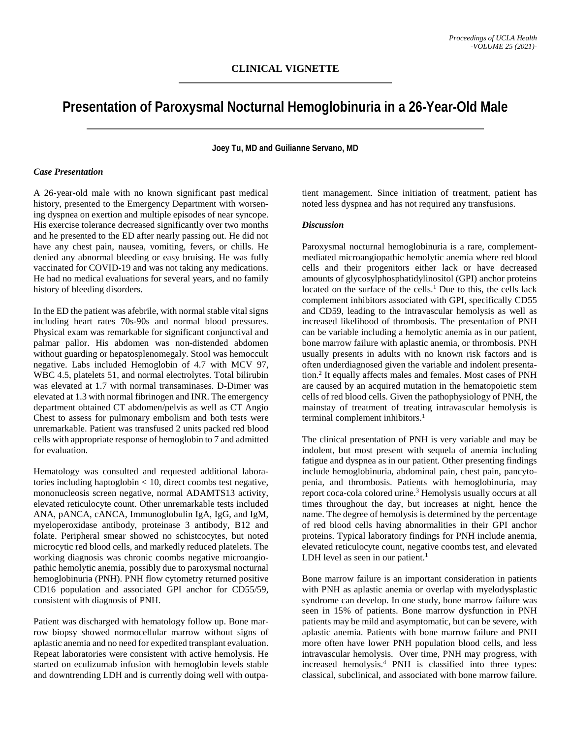# **Presentation of Paroxysmal Nocturnal Hemoglobinuria in a 26-Year-Old Male**

**Joey Tu, MD and Guilianne Servano, MD**

# *Case Presentation*

A 26-year-old male with no known significant past medical history, presented to the Emergency Department with worsening dyspnea on exertion and multiple episodes of near syncope. His exercise tolerance decreased significantly over two months and he presented to the ED after nearly passing out. He did not have any chest pain, nausea, vomiting, fevers, or chills. He denied any abnormal bleeding or easy bruising. He was fully vaccinated for COVID-19 and was not taking any medications. He had no medical evaluations for several years, and no family history of bleeding disorders.

In the ED the patient was afebrile, with normal stable vital signs including heart rates 70s-90s and normal blood pressures. Physical exam was remarkable for significant conjunctival and palmar pallor. His abdomen was non-distended abdomen without guarding or hepatosplenomegaly. Stool was hemoccult negative. Labs included Hemoglobin of 4.7 with MCV 97, WBC 4.5, platelets 51, and normal electrolytes. Total bilirubin was elevated at 1.7 with normal transaminases. D-Dimer was elevated at 1.3 with normal fibrinogen and INR. The emergency department obtained CT abdomen/pelvis as well as CT Angio Chest to assess for pulmonary embolism and both tests were unremarkable. Patient was transfused 2 units packed red blood cells with appropriate response of hemoglobin to 7 and admitted for evaluation.

Hematology was consulted and requested additional laboratories including haptoglobin < 10, direct coombs test negative, mononucleosis screen negative, normal ADAMTS13 activity, elevated reticulocyte count. Other unremarkable tests included ANA, pANCA, cANCA, Immunoglobulin IgA, IgG, and IgM, myeloperoxidase antibody, proteinase 3 antibody, B12 and folate. Peripheral smear showed no schistcocytes, but noted microcytic red blood cells, and markedly reduced platelets. The working diagnosis was chronic coombs negative microangiopathic hemolytic anemia, possibly due to paroxysmal nocturnal hemoglobinuria (PNH). PNH flow cytometry returned positive CD16 population and associated GPI anchor for CD55/59, consistent with diagnosis of PNH.

Patient was discharged with hematology follow up. Bone marrow biopsy showed normocellular marrow without signs of aplastic anemia and no need for expedited transplant evaluation. Repeat laboratories were consistent with active hemolysis. He started on eculizumab infusion with hemoglobin levels stable and downtrending LDH and is currently doing well with outpatient management. Since initiation of treatment, patient has noted less dyspnea and has not required any transfusions.

### *Discussion*

Paroxysmal nocturnal hemoglobinuria is a rare, complementmediated microangiopathic hemolytic anemia where red blood cells and their progenitors either lack or have decreased amounts of glycosylphosphatidylinositol (GPI) anchor proteins located on the surface of the cells.<sup>1</sup> Due to this, the cells lack complement inhibitors associated with GPI, specifically CD55 and CD59, leading to the intravascular hemolysis as well as increased likelihood of thrombosis. The presentation of PNH can be variable including a hemolytic anemia as in our patient, bone marrow failure with aplastic anemia, or thrombosis. PNH usually presents in adults with no known risk factors and is often underdiagnosed given the variable and indolent presentation.2 It equally affects males and females. Most cases of PNH are caused by an acquired mutation in the hematopoietic stem cells of red blood cells. Given the pathophysiology of PNH, the mainstay of treatment of treating intravascular hemolysis is terminal complement inhibitors.<sup>1</sup>

The clinical presentation of PNH is very variable and may be indolent, but most present with sequela of anemia including fatigue and dyspnea as in our patient. Other presenting findings include hemoglobinuria, abdominal pain, chest pain, pancytopenia, and thrombosis. Patients with hemoglobinuria, may report coca-cola colored urine.<sup>3</sup> Hemolysis usually occurs at all times throughout the day, but increases at night, hence the name. The degree of hemolysis is determined by the percentage of red blood cells having abnormalities in their GPI anchor proteins. Typical laboratory findings for PNH include anemia, elevated reticulocyte count, negative coombs test, and elevated LDH level as seen in our patient.<sup>1</sup>

Bone marrow failure is an important consideration in patients with PNH as aplastic anemia or overlap with myelodysplastic syndrome can develop. In one study, bone marrow failure was seen in 15% of patients. Bone marrow dysfunction in PNH patients may be mild and asymptomatic, but can be severe, with aplastic anemia. Patients with bone marrow failure and PNH more often have lower PNH population blood cells, and less intravascular hemolysis. Over time, PNH may progress, with increased hemolysis.4 PNH is classified into three types: classical, subclinical, and associated with bone marrow failure.